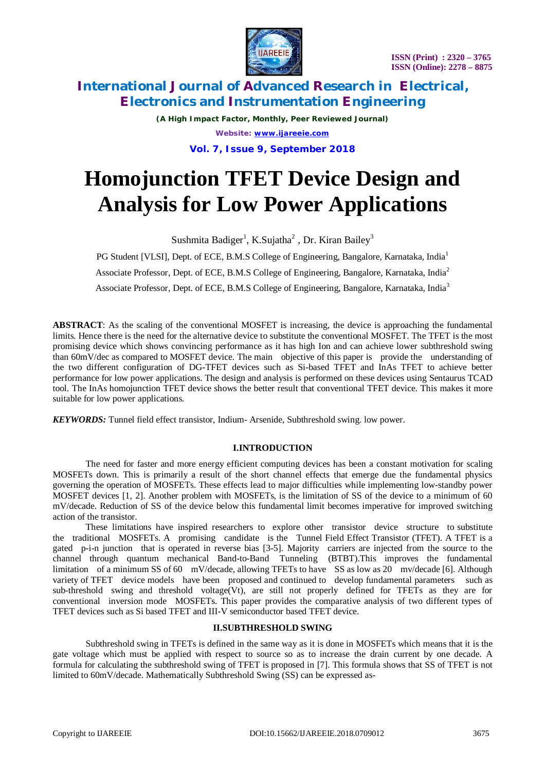

*(A High Impact Factor, Monthly, Peer Reviewed Journal) Website: [www.ijareeie.com](http://www.ijareeie.com)* **Vol. 7, Issue 9, September 2018**

# **Homojunction TFET Device Design and Analysis for Low Power Applications**

Sushmita Badiger<sup>1</sup>, K.Sujatha<sup>2</sup> , Dr. Kiran Bailey<sup>3</sup>

PG Student [VLSI], Dept. of ECE, B.M.S College of Engineering, Bangalore, Karnataka, India<sup>1</sup>

Associate Professor, Dept. of ECE, B.M.S College of Engineering, Bangalore, Karnataka, India<sup>2</sup>

Associate Professor, Dept. of ECE, B.M.S College of Engineering, Bangalore, Karnataka, India<sup>3</sup>

**ABSTRACT**: As the scaling of the conventional MOSFET is increasing, the device is approaching the fundamental limits. Hence there is the need for the alternative device to substitute the conventional MOSFET. The TFET is the most promising device which shows convincing performance as it has high Ion and can achieve lower subthreshold swing than 60mV/dec as compared to MOSFET device. The main objective of this paper is provide the understanding of the two different configuration of DG-TFET devices such as Si-based TFET and InAs TFET to achieve better performance for low power applications. The design and analysis is performed on these devices using Sentaurus TCAD tool. The InAs homojunction TFET device shows the better result that conventional TFET device. This makes it more suitable for low power applications.

*KEYWORDS:* Tunnel field effect transistor, Indium- Arsenide, Subthreshold swing. low power.

#### **I.INTRODUCTION**

The need for faster and more energy efficient computing devices has been a constant motivation for scaling MOSFETs down. This is primarily a result of the short channel effects that emerge due the fundamental physics governing the operation of MOSFETs. These effects lead to major difficulties while implementing low-standby power MOSFET devices [1, 2]. Another problem with MOSFETs, is the limitation of SS of the device to a minimum of 60 mV/decade. Reduction of SS of the device below this fundamental limit becomes imperative for improved switching action of the transistor.

These limitations have inspired researchers to explore other transistor device structure to substitute the traditional MOSFETs. A promising candidate is the Tunnel Field Effect Transistor (TFET). A TFET is a gated p-i-n junction that is operated in reverse bias [3-5]. Majority carriers are injected from the source to the channel through quantum mechanical Band-to-Band Tunneling (BTBT).This improves the fundamental limitation of a minimum SS of 60 mV/decade, allowing TFETs to have SS as low as 20 mv/decade [6]. Although variety of TFET device models have been proposed and continued to develop fundamental parameters such as sub-threshold swing and threshold voltage  $(Vt)$ , are still not properly defined for TFETs as they are for conventional inversion mode MOSFETs. This paper provides the comparative analysis of two different types of TFET devices such as Si based TFET and III-V semiconductor based TFET device.

#### **II.SUBTHRESHOLD SWING**

Subthreshold swing in TFETs is defined in the same way as it is done in MOSFETs which means that it is the gate voltage which must be applied with respect to source so as to increase the drain current by one decade. A formula for calculating the subthreshold swing of TFET is proposed in [7]. This formula shows that SS of TFET is not limited to 60mV/decade. Mathematically Subthreshold Swing (SS) can be expressed as-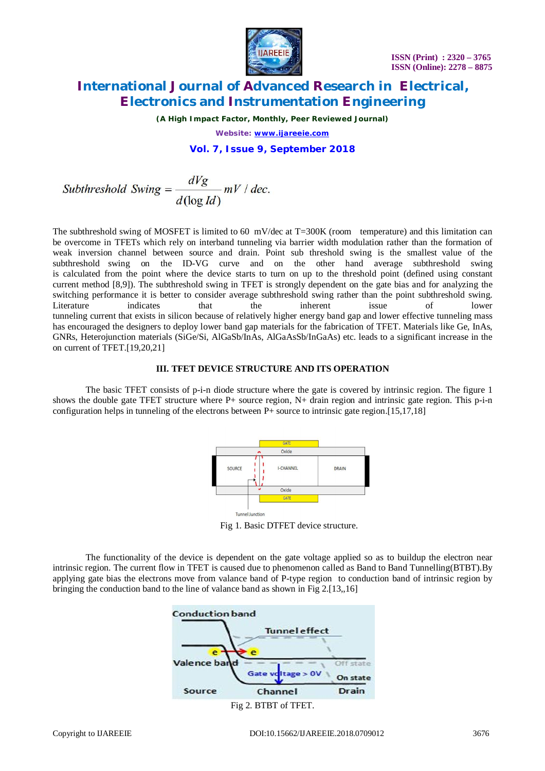

*(A High Impact Factor, Monthly, Peer Reviewed Journal)*

*Website: [www.ijareeie.com](http://www.ijareeie.com)*

#### **Vol. 7, Issue 9, September 2018**

Subthreshold Swing = 
$$
\frac{dVg}{d(\log Id)} mV / dec.
$$

The subthreshold swing of MOSFET is limited to 60  $\,$  mV/dec at T=300K (room temperature) and this limitation can be overcome in TFETs which rely on interband tunneling via barrier width modulation rather than the formation of weak inversion channel between source and drain. Point sub threshold swing is the smallest value of the subthreshold swing on the ID-VG curve and on the other hand average subthreshold swing is calculated from the point where the device starts to turn on up to the threshold point (defined using constant current method [8,9]). The subthreshold swing in TFET is strongly dependent on the gate bias and for analyzing the switching performance it is better to consider average subthreshold swing rather than the point subthreshold swing. Literature indicates that the inherent issue of lower tunneling current that exists in silicon because of relatively higher energy band gap and lower effective tunneling mass has encouraged the designers to deploy lower band gap materials for the fabrication of TFET. Materials like Ge, InAs, GNRs, Heterojunction materials (SiGe/Si, AlGaSb/InAs, AlGaAsSb/InGaAs) etc. leads to a significant increase in the on current of TFET.[19,20,21]

#### **III. TFET DEVICE STRUCTURE AND ITS OPERATION**

The basic TFET consists of p-i-n diode structure where the gate is covered by intrinsic region. The figure 1 shows the double gate TFET structure where  $P+$  source region,  $N+$  drain region and intrinsic gate region. This p-i-n configuration helps in tunneling of the electrons between P+ source to intrinsic gate region.[15,17,18]



Fig 1. Basic DTFET device structure.

The functionality of the device is dependent on the gate voltage applied so as to buildup the electron near intrinsic region. The current flow in TFET is caused due to phenomenon called as Band to Band Tunnelling(BTBT).By applying gate bias the electrons move from valance band of P-type region to conduction band of intrinsic region by bringing the conduction band to the line of valance band as shown in Fig 2.[13,,16]

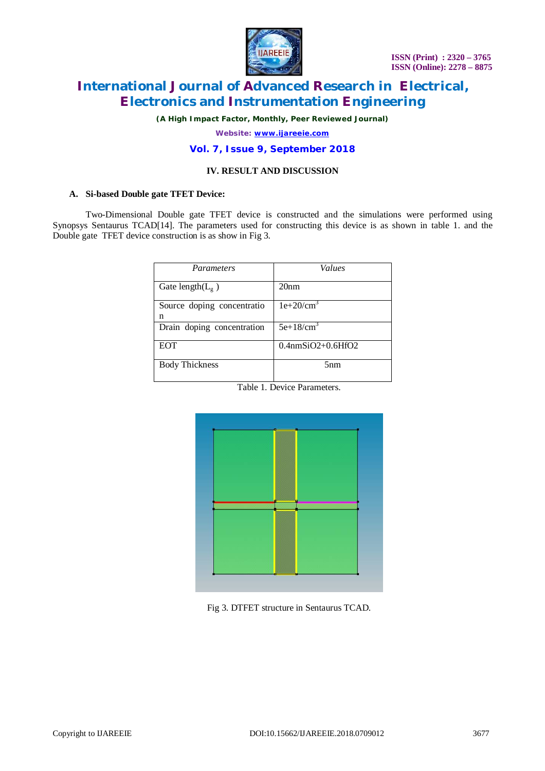

*(A High Impact Factor, Monthly, Peer Reviewed Journal)*

*Website: [www.ijareeie.com](http://www.ijareeie.com)*

#### **Vol. 7, Issue 9, September 2018**

### **IV. RESULT AND DISCUSSION**

#### **A. Si-based Double gate TFET Device:**

Two-Dimensional Double gate TFET device is constructed and the simulations were performed using Synopsys Sentaurus TCAD[14]. The parameters used for constructing this device is as shown in table 1. and the Double gate TFET device construction is as show in Fig 3.

| <b>Parameters</b>               | Values               |  |  |  |  |
|---------------------------------|----------------------|--|--|--|--|
| Gate length( $L_{g}$ )          | 20 <sub>nm</sub>     |  |  |  |  |
| Source doping concentratio<br>n | $1e+20/cm^3$         |  |  |  |  |
| Drain doping concentration      | $5e+18/cm^3$         |  |  |  |  |
| <b>EOT</b>                      | $0.4$ nmSiO2+0.6HfO2 |  |  |  |  |
| <b>Body Thickness</b>           | 5 <sub>nm</sub>      |  |  |  |  |
| ---<br>$\sim$                   |                      |  |  |  |  |

Table 1. Device Parameters.



Fig 3. DTFET structure in Sentaurus TCAD.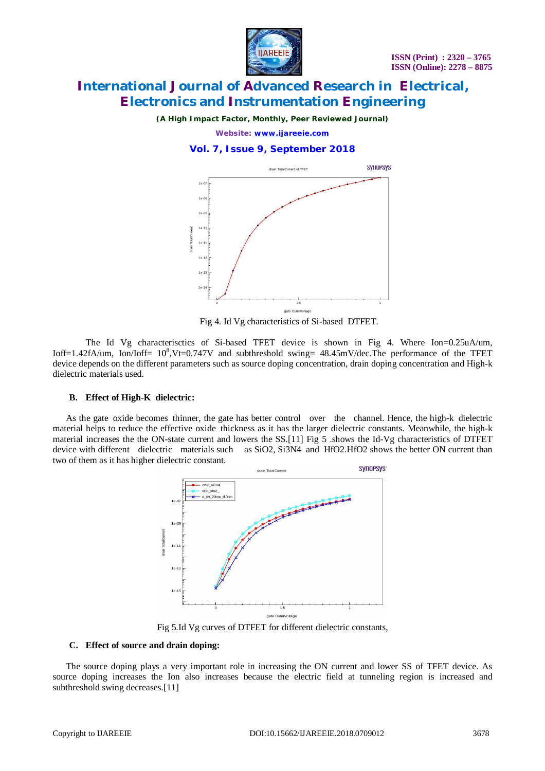

*(A High Impact Factor, Monthly, Peer Reviewed Journal)*

*Website: [www.ijareeie.com](http://www.ijareeie.com)*

#### **Vol. 7, Issue 9, September 2018**



Fig 4. Id Vg characteristics of Si-based DTFET.

The Id Vg characterisctics of Si-based TFET device is shown in Fig 4. Where Ion=0.25uA/um, Ioff=1.42fA/um, Ion/Ioff=  $10^8$ ,Vt=0.747V and subthreshold swing= 48.45mV/dec.The performance of the TFET device depends on the different parameters such as source doping concentration, drain doping concentration and High-k dielectric materials used.

#### **B.** Effect of High-K dielectric:

As the gate oxide becomes thinner, the gate has better control over the channel. Hence, the high-k dielectric material helps to reduce the effective oxide thickness as it has the larger dielectric constants. Meanwhile, the high-k material increases the the ON-state current and lowers the SS.[11] Fig 5 .shows the Id-Vg characteristics of DTFET device with different dielectric materials such as SiO2, Si3N4 and HfO2.HfO2 shows the better ON current than two of them as it has higher dielectric constant.



Fig 5.Id Vg curves of DTFET for different dielectric constants,

#### **C. Effect of source and drain doping:**

The source doping plays a very important role in increasing the ON current and lower SS of TFET device. As source doping increases the Ion also increases because the electric field at tunneling region is increased and subthreshold swing decreases.[11]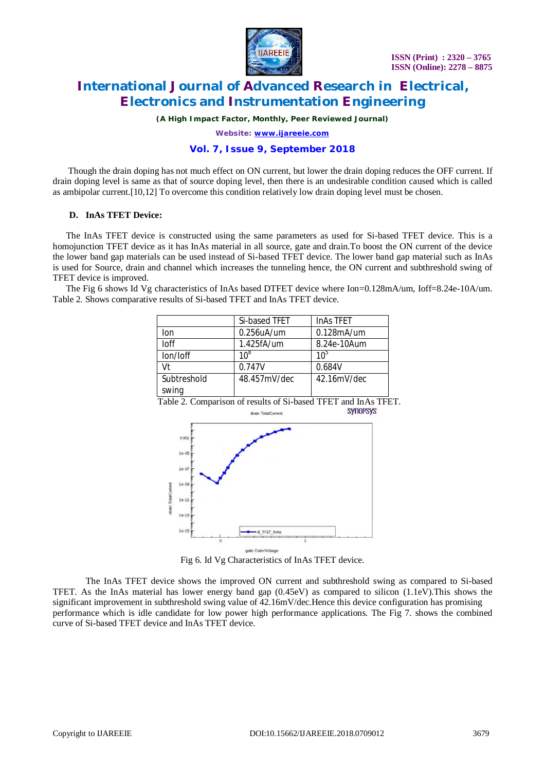

*(A High Impact Factor, Monthly, Peer Reviewed Journal)*

*Website: [www.ijareeie.com](http://www.ijareeie.com)*

#### **Vol. 7, Issue 9, September 2018**

Though the drain doping has not much effect on ON current, but lower the drain doping reduces the OFF current. If drain doping level is same as that of source doping level, then there is an undesirable condition caused which is called as ambipolar current.[10,12] To overcome this condition relatively low drain doping level must be chosen.

#### **D. InAs TFET Device:**

The InAs TFET device is constructed using the same parameters as used for Si-based TFET device. This is a homojunction TFET device as it has InAs material in all source, gate and drain.To boost the ON current of the device the lower band gap materials can be used instead of Si-based TFET device. The lower band gap material such as InAs is used for Source, drain and channel which increases the tunneling hence, the ON current and subthreshold swing of TFET device is improved.

The Fig 6 shows Id Vg characteristics of InAs based DTFET device where Ion=0.128mA/um, Ioff=8.24e-10A/um. Table 2. Shows comparative results of Si-based TFET and InAs TFET device.

|                      | Si-based TFET     | <b>InAs TFET</b> |
|----------------------|-------------------|------------------|
| lon                  | $0.256$ u $A$ /um | 0.128mA/um       |
| Inf                  | 1.425fA/um        | 8.24e-10Aum      |
| lon/loff             | 10 <sup>8</sup>   | 10 $\degree$     |
| Vt                   | 0.747V            | 0.684V           |
| Subtreshold<br>swing | 48.457mV/dec      | 42.16mV/dec      |

Table 2. Comparison of results of Si-based TFET and InAs TFET.<br>SYNOPSYS drain TotalCurrent



Fig 6. Id Vg Characteristics of InAs TFET device.

The InAs TFET device shows the improved ON current and subthreshold swing as compared to Si-based TFET. As the InAs material has lower energy band gap (0.45eV) as compared to silicon (1.1eV).This shows the significant improvement in subthreshold swing value of 42.16mV/dec.Hence this device configuration has promising performance which is idle candidate for low power high performance applications. The Fig 7. shows the combined curve of Si-based TFET device and InAs TFET device.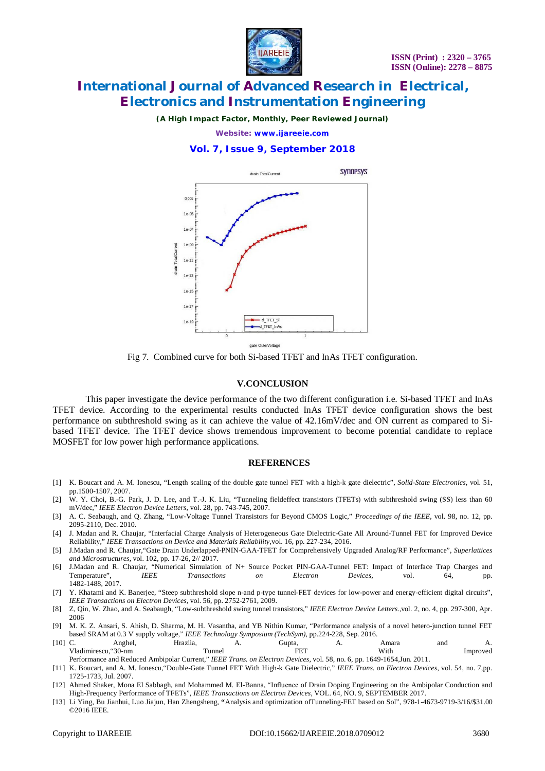

*(A High Impact Factor, Monthly, Peer Reviewed Journal)*

*Website: [www.ijareeie.com](http://www.ijareeie.com)*

#### **Vol. 7, Issue 9, September 2018**



gate OuterVoltage

Fig 7. Combined curve for both Si-based TFET and InAs TFET configuration.

#### **V.CONCLUSION**

This paper investigate the device performance of the two different configuration i.e. Si-based TFET and InAs TFET device. According to the experimental results conducted InAs TFET device configuration shows the best performance on subthreshold swing as it can achieve the value of 42.16mV/dec and ON current as compared to Sibased TFET device. The TFET device shows tremendous improvement to become potential candidate to replace MOSFET for low power high performance applications.

#### **REFERENCES**

- [1] K. Boucart and A. M. Ionescu, "Length scaling of the double gate tunnel FET with a high-k gate dielectric", *Solid-State Electronics,* vol. 51, pp.1500-1507, 2007.
- [2] W. Y. Choi, B.-G. Park, J. D. Lee, and T.-J. K. Liu, "Tunneling fieldeffect transistors (TFETs) with subthreshold swing (SS) less than 60 mV/dec," *IEEE Electron Device Letters,* vol. 28, pp. 743-745, 2007.
- [3] A. C. Seabaugh, and Q. Zhang, "Low-Voltage Tunnel Transistors for Beyond CMOS Logic," *Proceedings of the IEEE*, vol. 98, no. 12, pp. 2095-2110, Dec. 2010.
- [4] J. Madan and R. Chaujar, "Interfacial Charge Analysis of Heterogeneous Gate Dielectric-Gate All Around-Tunnel FET for Improved Device Reliability," *IEEE Transactions on Device and Materials Reliability,*vol. 16, pp. 227-234, 2016.
- [5] J.Madan and R. Chaujar,"Gate Drain Underlapped-PNIN-GAA-TFET for Comprehensively Upgraded Analog/RF Performance", *Superlattices and Microstructures,* vol. 102, pp. 17-26, 2// 2017.
- [6] J.Madan and R. Chaujar, "Numerical Simulation of N+ Source Pocket PIN-GAA-Tunnel FET: Impact of Interface Trap Charges and Temperature", *IEEE Transactions on Electron Devices,* vol. 64, pp. 1482-1488, 2017.
- [7] Y. Khatami and K. Banerjee, "Steep subthreshold slope n-and p-type tunnel-FET devices for low-power and energy-efficient digital circuits", *IEEE Transactions on Electron Devices,* vol. 56, pp. 2752-2761, 2009.
- [8] Z, Qin, W. Zhao, and A. Seabaugh, "Low-subthreshold swing tunnel transistors," *IEEE Electron Device Letters.,*vol. 2, no. 4, pp. 297-300, Apr. 2006
- [9] M. K. Z. Ansari, S. Ahish, D. Sharma, M. H. Vasantha, and YB Nithin Kumar, "Performance analysis of a novel hetero-junction tunnel FET based SRAM at 0.3 V supply voltage," *IEEE Technology Symposium (TechSym),* pp.224-228, Sep. 2016.
- [10] C. Anghel, Hraziia, A. Gupta, A. Amara and A. Vladimirescu, "30-nm Tunnel Tunnel FET With Improved
- Performance and Reduced Ambipolar Current," *IEEE Trans. on Electron Devices*, vol. 58, no. 6, pp. 1649-1654,Jun. 2011. [11] K. Boucart, and A. M. Ionescu,"Double-Gate Tunnel FET With High-k Gate Dielectric," *IEEE Trans. on Electron Devices,* vol. 54, no. 7,pp. 1725-1733, Jul. 2007.
- [12] Ahmed Shaker, Mona El Sabbagh, and Mohammed M. El-Banna, "Influence of Drain Doping Engineering on the Ambipolar Conduction and High-Frequency Performance of TFETs", *IEEE Transactions on Electron Devices*, VOL. 64, NO. 9, SEPTEMBER 2017.
- [13] Li Ying, Bu Jianhui, Luo Jiajun, Han Zhengsheng, **"**Analysis and optimization ofTunneling-FET based on Sol", 978-1-4673-9719-3/16/\$31.00 ©2016 IEEE.